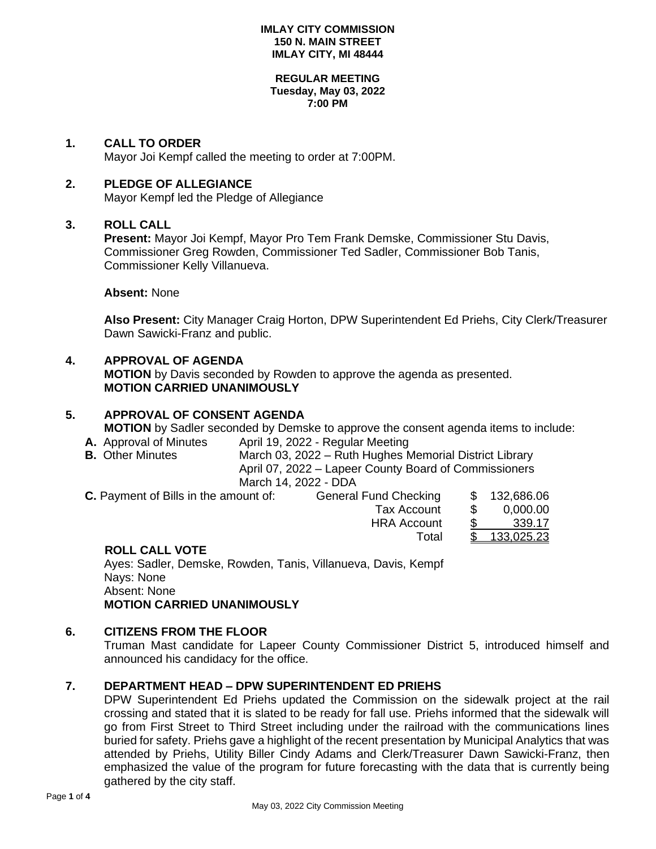#### **REGULAR MEETING Tuesday, May 03, 2022 7:00 PM**

### **1. CALL TO ORDER**

Mayor Joi Kempf called the meeting to order at 7:00PM.

### **2. PLEDGE OF ALLEGIANCE**

Mayor Kempf led the Pledge of Allegiance

### **3. ROLL CALL**

**Present:** Mayor Joi Kempf, Mayor Pro Tem Frank Demske, Commissioner Stu Davis, Commissioner Greg Rowden, Commissioner Ted Sadler, Commissioner Bob Tanis, Commissioner Kelly Villanueva.

**Absent:** None

**Also Present:** City Manager Craig Horton, DPW Superintendent Ed Priehs, City Clerk/Treasurer Dawn Sawicki-Franz and public.

## **4. APPROVAL OF AGENDA**

**MOTION** by Davis seconded by Rowden to approve the agenda as presented. **MOTION CARRIED UNANIMOUSLY**

# **5. APPROVAL OF CONSENT AGENDA MOTION** by Sadler seconded by Demske to approve the consent agenda items to include:

- A. Approval of Minutes April 19, 2022 Regular Meeting
- **B.** Other Minutes March 03, 2022 Ruth Hughes Memorial District Library April 07, 2022 – Lapeer County Board of Commissioners March 14, 2022 - DDA

| C. Payment of Bills in the amount of: | <b>General Fund Checking</b> |     | \$ 132,686.06 |
|---------------------------------------|------------------------------|-----|---------------|
|                                       | Tax Account                  | -96 | 0,000.00      |
|                                       | <b>HRA Account</b>           |     | 339.17        |
|                                       | Total                        |     | 133,025.23    |

### **ROLL CALL VOTE**

Ayes: Sadler, Demske, Rowden, Tanis, Villanueva, Davis, Kempf Nays: None Absent: None **MOTION CARRIED UNANIMOUSLY**

## **6. CITIZENS FROM THE FLOOR**

Truman Mast candidate for Lapeer County Commissioner District 5, introduced himself and announced his candidacy for the office.

## **7. DEPARTMENT HEAD – DPW SUPERINTENDENT ED PRIEHS**

DPW Superintendent Ed Priehs updated the Commission on the sidewalk project at the rail crossing and stated that it is slated to be ready for fall use. Priehs informed that the sidewalk will go from First Street to Third Street including under the railroad with the communications lines buried for safety. Priehs gave a highlight of the recent presentation by Municipal Analytics that was attended by Priehs, Utility Biller Cindy Adams and Clerk/Treasurer Dawn Sawicki-Franz, then emphasized the value of the program for future forecasting with the data that is currently being gathered by the city staff.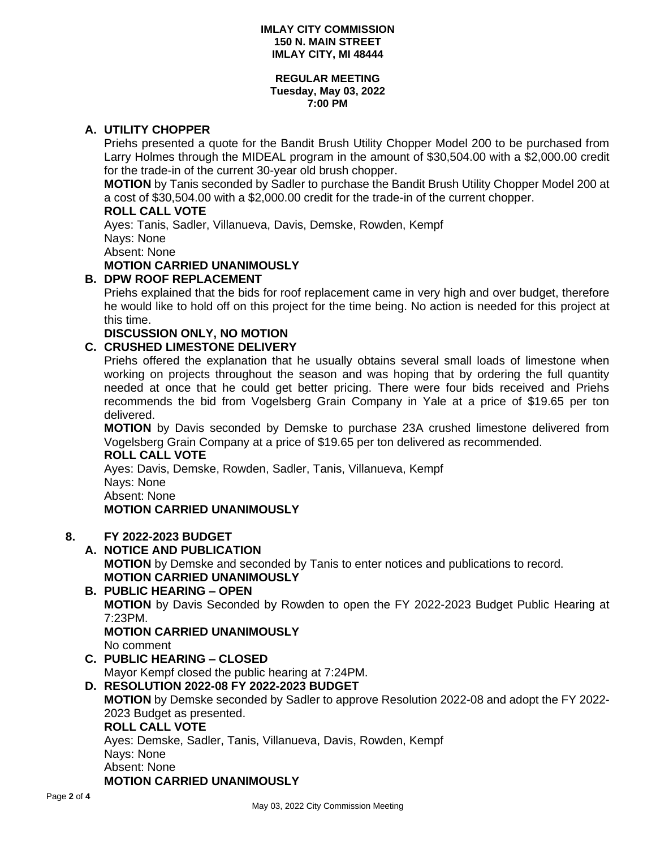#### **REGULAR MEETING Tuesday, May 03, 2022 7:00 PM**

## **A. UTILITY CHOPPER**

Priehs presented a quote for the Bandit Brush Utility Chopper Model 200 to be purchased from Larry Holmes through the MIDEAL program in the amount of \$30,504.00 with a \$2,000.00 credit for the trade-in of the current 30-year old brush chopper.

**MOTION** by Tanis seconded by Sadler to purchase the Bandit Brush Utility Chopper Model 200 at a cost of \$30,504.00 with a \$2,000.00 credit for the trade-in of the current chopper.

### **ROLL CALL VOTE**

Ayes: Tanis, Sadler, Villanueva, Davis, Demske, Rowden, Kempf

Nays: None

Absent: None

# **MOTION CARRIED UNANIMOUSLY**

## **B. DPW ROOF REPLACEMENT**

Priehs explained that the bids for roof replacement came in very high and over budget, therefore he would like to hold off on this project for the time being. No action is needed for this project at this time.

**DISCUSSION ONLY, NO MOTION**

## **C. CRUSHED LIMESTONE DELIVERY**

Priehs offered the explanation that he usually obtains several small loads of limestone when working on projects throughout the season and was hoping that by ordering the full quantity needed at once that he could get better pricing. There were four bids received and Priehs recommends the bid from Vogelsberg Grain Company in Yale at a price of \$19.65 per ton delivered.

**MOTION** by Davis seconded by Demske to purchase 23A crushed limestone delivered from Vogelsberg Grain Company at a price of \$19.65 per ton delivered as recommended.

**ROLL CALL VOTE**

Ayes: Davis, Demske, Rowden, Sadler, Tanis, Villanueva, Kempf Nays: None Absent: None

## **MOTION CARRIED UNANIMOUSLY**

## **8. FY 2022-2023 BUDGET**

- **A. NOTICE AND PUBLICATION MOTION** by Demske and seconded by Tanis to enter notices and publications to record. **MOTION CARRIED UNANIMOUSLY**
- **B. PUBLIC HEARING – OPEN MOTION** by Davis Seconded by Rowden to open the FY 2022-2023 Budget Public Hearing at 7:23PM. **MOTION CARRIED UNANIMOUSLY** No comment
- **C. PUBLIC HEARING – CLOSED** Mayor Kempf closed the public hearing at 7:24PM.
- **D. RESOLUTION 2022-08 FY 2022-2023 BUDGET MOTION** by Demske seconded by Sadler to approve Resolution 2022-08 and adopt the FY 2022- 2023 Budget as presented. **ROLL CALL VOTE** Ayes: Demske, Sadler, Tanis, Villanueva, Davis, Rowden, Kempf Nays: None Absent: None

## **MOTION CARRIED UNANIMOUSLY**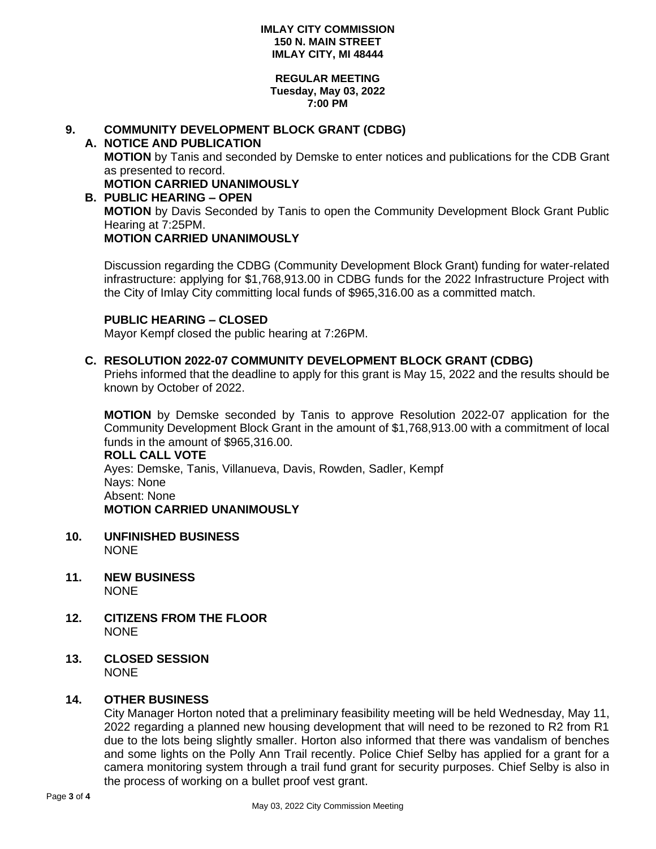#### **REGULAR MEETING Tuesday, May 03, 2022 7:00 PM**

# **9. COMMUNITY DEVELOPMENT BLOCK GRANT (CDBG)**

- **A. NOTICE AND PUBLICATION MOTION** by Tanis and seconded by Demske to enter notices and publications for the CDB Grant as presented to record. **MOTION CARRIED UNANIMOUSLY**
- **B. PUBLIC HEARING – OPEN MOTION** by Davis Seconded by Tanis to open the Community Development Block Grant Public Hearing at 7:25PM. **MOTION CARRIED UNANIMOUSLY**

Discussion regarding the CDBG (Community Development Block Grant) funding for water-related infrastructure: applying for \$1,768,913.00 in CDBG funds for the 2022 Infrastructure Project with the City of Imlay City committing local funds of \$965,316.00 as a committed match.

### **PUBLIC HEARING – CLOSED**

Mayor Kempf closed the public hearing at 7:26PM.

### **C. RESOLUTION 2022-07 COMMUNITY DEVELOPMENT BLOCK GRANT (CDBG)**

Priehs informed that the deadline to apply for this grant is May 15, 2022 and the results should be known by October of 2022.

**MOTION** by Demske seconded by Tanis to approve Resolution 2022-07 application for the Community Development Block Grant in the amount of \$1,768,913.00 with a commitment of local funds in the amount of \$965,316.00.

**ROLL CALL VOTE** Ayes: Demske, Tanis, Villanueva, Davis, Rowden, Sadler, Kempf Nays: None Absent: None **MOTION CARRIED UNANIMOUSLY**

- **10. UNFINISHED BUSINESS NONE**
- **11. NEW BUSINESS** NONE
- **12. CITIZENS FROM THE FLOOR NONE**
- **13. CLOSED SESSION NONE**

### **14. OTHER BUSINESS**

City Manager Horton noted that a preliminary feasibility meeting will be held Wednesday, May 11, 2022 regarding a planned new housing development that will need to be rezoned to R2 from R1 due to the lots being slightly smaller. Horton also informed that there was vandalism of benches and some lights on the Polly Ann Trail recently. Police Chief Selby has applied for a grant for a camera monitoring system through a trail fund grant for security purposes. Chief Selby is also in the process of working on a bullet proof vest grant.